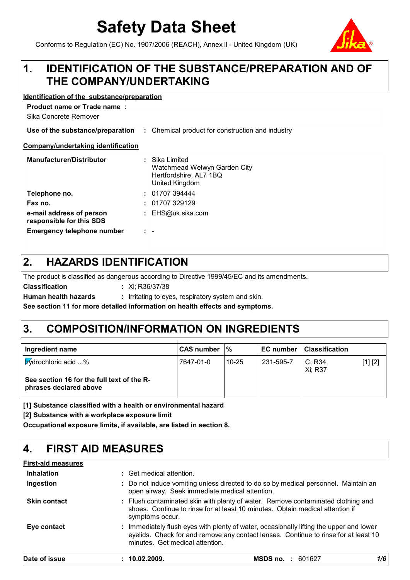# **Safety Data Sheet**

Conforms to Regulation (EC) No. 1907/2006 (REACH), Annex II - United Kingdom (UK)

#### **IDENTIFICATION OF THE SUBSTANCE/PREPARATION AND OF THE COMPANY/UNDERTAKING 1.**

#### **Identification of the substance/preparation**

**Product name or Trade name :**

Sika Concrete Remover

#### **Use of the substance/preparation** : Chemical product for construction and industry

#### **Company/undertaking identification**

| <b>Manufacturer/Distributor</b>                      |     | Sika Limited<br>Watchmead Welwyn Garden City<br>Hertfordshire. AL7 1BQ<br>United Kingdom |
|------------------------------------------------------|-----|------------------------------------------------------------------------------------------|
| Telephone no.                                        |     | : 01707394444                                                                            |
| Fax no.                                              |     | : 01707329129                                                                            |
| e-mail address of person<br>responsible for this SDS |     | EHS@uk.sika.com                                                                          |
| <b>Emergency telephone number</b>                    | . . | $\overline{\phantom{a}}$                                                                 |

#### **HAZARDS IDENTIFICATION 2.**

The product is classified as dangerous according to Directive 1999/45/EC and its amendments.

**Classification :**

**Human health hazards** : Irritating to eyes, respiratory system and skin.

**See section 11 for more detailed information on health effects and symptoms.**

Xi; R36/37/38

### **3. COMPOSITION/INFORMATION ON INGREDIENTS**

| Ingredient name                                                                             | ICAS number ⊺% |           | EC number | <b>Classification</b> |         |
|---------------------------------------------------------------------------------------------|----------------|-----------|-----------|-----------------------|---------|
| hydrochloric acid %<br>See section 16 for the full text of the R-<br>phrases declared above | 7647-01-0      | $10 - 25$ | 231-595-7 | C; R34<br>Xi: R37     | [1] [2] |

**[1] Substance classified with a health or environmental hazard**

**[2] Substance with a workplace exposure limit**

**Occupational exposure limits, if available, are listed in section 8.**

#### **4. FIRST AID MEASURES**

### **First-aid measures**

| Date of issue       | : 10.02.2009.                                  | <b>MSDS no. : 601627</b>                                                                                                                                                       | 1/6 |
|---------------------|------------------------------------------------|--------------------------------------------------------------------------------------------------------------------------------------------------------------------------------|-----|
| Eye contact         | minutes. Get medical attention.                | : Immediately flush eyes with plenty of water, occasionally lifting the upper and lower<br>eyelids. Check for and remove any contact lenses. Continue to rinse for at least 10 |     |
| <b>Skin contact</b> | symptoms occur.                                | : Flush contaminated skin with plenty of water. Remove contaminated clothing and<br>shoes. Continue to rinse for at least 10 minutes. Obtain medical attention if              |     |
| Ingestion           | open airway. Seek immediate medical attention. | : Do not induce vomiting unless directed to do so by medical personnel. Maintain an                                                                                            |     |
| <b>Inhalation</b>   | : Get medical attention.                       |                                                                                                                                                                                |     |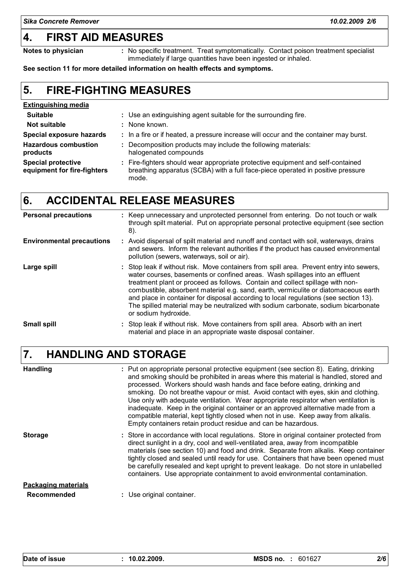### **4. FIRST AID MEASURES**

**Notes to physician** : No specific treatment. Treat symptomatically. Contact poison treatment specialist immediately if large quantities have been ingested or inhaled.

**See section 11 for more detailed information on health effects and symptoms.**

#### **FIRE-FIGHTING MEASURES 5.**

| <b>Extinguishing media</b>                               |                                                                                                                                                                             |
|----------------------------------------------------------|-----------------------------------------------------------------------------------------------------------------------------------------------------------------------------|
| <b>Suitable</b>                                          | : Use an extinguishing agent suitable for the surrounding fire.                                                                                                             |
| Not suitable                                             | : None known.                                                                                                                                                               |
| <b>Special exposure hazards</b>                          | : In a fire or if heated, a pressure increase will occur and the container may burst.                                                                                       |
| <b>Hazardous combustion</b><br>products                  | : Decomposition products may include the following materials:<br>halogenated compounds                                                                                      |
| <b>Special protective</b><br>equipment for fire-fighters | : Fire-fighters should wear appropriate protective equipment and self-contained<br>breathing apparatus (SCBA) with a full face-piece operated in positive pressure<br>mode. |

### **6. ACCIDENTAL RELEASE MEASURES**

| <b>Personal precautions</b>      | : Keep unnecessary and unprotected personnel from entering. Do not touch or walk<br>through spilt material. Put on appropriate personal protective equipment (see section<br>8).                                                                                                                                                                                                                                                                                                                                                                     |
|----------------------------------|------------------------------------------------------------------------------------------------------------------------------------------------------------------------------------------------------------------------------------------------------------------------------------------------------------------------------------------------------------------------------------------------------------------------------------------------------------------------------------------------------------------------------------------------------|
| <b>Environmental precautions</b> | : Avoid dispersal of spilt material and runoff and contact with soil, waterways, drains<br>and sewers. Inform the relevant authorities if the product has caused environmental<br>pollution (sewers, waterways, soil or air).                                                                                                                                                                                                                                                                                                                        |
| Large spill                      | : Stop leak if without risk. Move containers from spill area. Prevent entry into sewers,<br>water courses, basements or confined areas. Wash spillages into an effluent<br>treatment plant or proceed as follows. Contain and collect spillage with non-<br>combustible, absorbent material e.g. sand, earth, vermiculite or diatomaceous earth<br>and place in container for disposal according to local regulations (see section 13).<br>The spilled material may be neutralized with sodium carbonate, sodium bicarbonate<br>or sodium hydroxide. |
| <b>Small spill</b>               | : Stop leak if without risk. Move containers from spill area. Absorb with an inert<br>material and place in an appropriate waste disposal container.                                                                                                                                                                                                                                                                                                                                                                                                 |

#### **HANDLING AND STORAGE 7.**

| <b>Handling</b>                           | : Put on appropriate personal protective equipment (see section 8). Eating, drinking<br>and smoking should be prohibited in areas where this material is handled, stored and<br>processed. Workers should wash hands and face before eating, drinking and<br>smoking. Do not breathe vapour or mist. Avoid contact with eyes, skin and clothing.<br>Use only with adequate ventilation. Wear appropriate respirator when ventilation is<br>inadequate. Keep in the original container or an approved alternative made from a<br>compatible material, kept tightly closed when not in use. Keep away from alkalis.<br>Empty containers retain product residue and can be hazardous. |
|-------------------------------------------|------------------------------------------------------------------------------------------------------------------------------------------------------------------------------------------------------------------------------------------------------------------------------------------------------------------------------------------------------------------------------------------------------------------------------------------------------------------------------------------------------------------------------------------------------------------------------------------------------------------------------------------------------------------------------------|
| <b>Storage</b>                            | : Store in accordance with local regulations. Store in original container protected from<br>direct sunlight in a dry, cool and well-ventilated area, away from incompatible<br>materials (see section 10) and food and drink. Separate from alkalis. Keep container<br>tightly closed and sealed until ready for use. Containers that have been opened must<br>be carefully resealed and kept upright to prevent leakage. Do not store in unlabelled<br>containers. Use appropriate containment to avoid environmental contamination.                                                                                                                                              |
| <b>Packaging materials</b><br>Recommended | : Use original container.                                                                                                                                                                                                                                                                                                                                                                                                                                                                                                                                                                                                                                                          |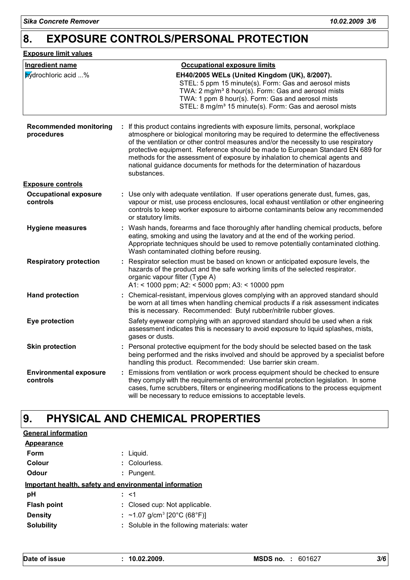### **8. EXPOSURE CONTROLS/PERSONAL PROTECTION**

#### **Exposure limit values**

| <b>Ingredient name</b>                      | <b>Occupational exposure limits</b>                                                                                                                                                                                                                                                                                                                                                                                                                                                                                          |
|---------------------------------------------|------------------------------------------------------------------------------------------------------------------------------------------------------------------------------------------------------------------------------------------------------------------------------------------------------------------------------------------------------------------------------------------------------------------------------------------------------------------------------------------------------------------------------|
| <b>Mydrochloric acid</b> %                  | EH40/2005 WELs (United Kingdom (UK), 8/2007).<br>STEL: 5 ppm 15 minute(s). Form: Gas and aerosol mists<br>TWA: 2 mg/m <sup>3</sup> 8 hour(s). Form: Gas and aerosol mists<br>TWA: 1 ppm 8 hour(s). Form: Gas and aerosol mists<br>STEL: 8 mg/m <sup>3</sup> 15 minute(s). Form: Gas and aerosol mists                                                                                                                                                                                                                        |
| <b>Recommended monitoring</b><br>procedures | : If this product contains ingredients with exposure limits, personal, workplace<br>atmosphere or biological monitoring may be required to determine the effectiveness<br>of the ventilation or other control measures and/or the necessity to use respiratory<br>protective equipment. Reference should be made to European Standard EN 689 for<br>methods for the assessment of exposure by inhalation to chemical agents and<br>national guidance documents for methods for the determination of hazardous<br>substances. |
| <b>Exposure controls</b>                    |                                                                                                                                                                                                                                                                                                                                                                                                                                                                                                                              |
| <b>Occupational exposure</b><br>controls    | : Use only with adequate ventilation. If user operations generate dust, fumes, gas,<br>vapour or mist, use process enclosures, local exhaust ventilation or other engineering<br>controls to keep worker exposure to airborne contaminants below any recommended<br>or statutory limits.                                                                                                                                                                                                                                     |
| <b>Hygiene measures</b>                     | : Wash hands, forearms and face thoroughly after handling chemical products, before<br>eating, smoking and using the lavatory and at the end of the working period.<br>Appropriate techniques should be used to remove potentially contaminated clothing.<br>Wash contaminated clothing before reusing.                                                                                                                                                                                                                      |
| <b>Respiratory protection</b>               | : Respirator selection must be based on known or anticipated exposure levels, the<br>hazards of the product and the safe working limits of the selected respirator.<br>organic vapour filter (Type A)<br>A1: < 1000 ppm; A2: < 5000 ppm; A3: < 10000 ppm                                                                                                                                                                                                                                                                     |
| <b>Hand protection</b>                      | : Chemical-resistant, impervious gloves complying with an approved standard should<br>be worn at all times when handling chemical products if a risk assessment indicates<br>this is necessary. Recommended: Butyl rubber/nitrile rubber gloves.                                                                                                                                                                                                                                                                             |
| Eye protection                              | Safety eyewear complying with an approved standard should be used when a risk<br>assessment indicates this is necessary to avoid exposure to liquid splashes, mists,<br>gases or dusts.                                                                                                                                                                                                                                                                                                                                      |
| <b>Skin protection</b>                      | : Personal protective equipment for the body should be selected based on the task<br>being performed and the risks involved and should be approved by a specialist before<br>handling this product. Recommended: Use barrier skin cream.                                                                                                                                                                                                                                                                                     |
| <b>Environmental exposure</b><br>controls   | : Emissions from ventilation or work process equipment should be checked to ensure<br>they comply with the requirements of environmental protection legislation. In some<br>cases, fume scrubbers, filters or engineering modifications to the process equipment<br>will be necessary to reduce emissions to acceptable levels.                                                                                                                                                                                              |

#### **PHYSICAL AND CHEMICAL PROPERTIES 9.**

| <b>General information</b>                                    |  |                                             |  |  |
|---------------------------------------------------------------|--|---------------------------------------------|--|--|
| Appearance                                                    |  |                                             |  |  |
| Form                                                          |  | : Liquid.                                   |  |  |
| Colour                                                        |  | : Colourless.                               |  |  |
| Odour                                                         |  | : Pungent.                                  |  |  |
| <u>Important health, safety and environmental information</u> |  |                                             |  |  |
| рH                                                            |  | : <1                                        |  |  |
| <b>Flash point</b>                                            |  | : Closed cup: Not applicable.               |  |  |
| <b>Density</b>                                                |  | : ~1.07 g/cm <sup>3</sup> [20°C (68°F)]     |  |  |
| <b>Solubility</b>                                             |  | : Soluble in the following materials: water |  |  |

| Date of issue | 10.02.2009. | MSDS no.<br>601627 | 3/6 |
|---------------|-------------|--------------------|-----|
|---------------|-------------|--------------------|-----|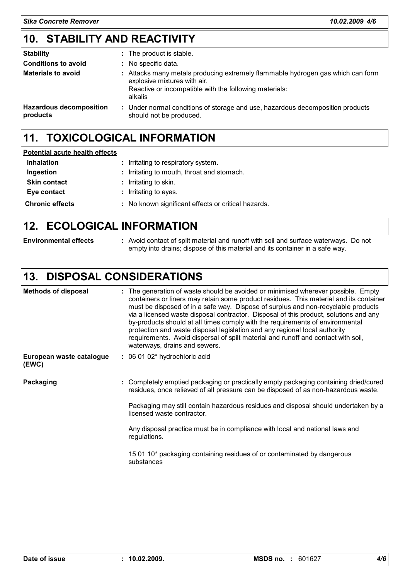## **STABILITY AND REACTIVITY 10.**

| <b>Stability</b>                           | : The product is stable.                                                                                                                                                             |
|--------------------------------------------|--------------------------------------------------------------------------------------------------------------------------------------------------------------------------------------|
| <b>Conditions to avoid</b>                 | : No specific data.                                                                                                                                                                  |
| <b>Materials to avoid</b>                  | : Attacks many metals producing extremely flammable hydrogen gas which can form<br>explosive mixtures with air.<br>Reactive or incompatible with the following materials:<br>alkalis |
| <b>Hazardous decomposition</b><br>products | : Under normal conditions of storage and use, hazardous decomposition products<br>should not be produced.                                                                            |

### **11. TOXICOLOGICAL INFORMATION**

| <b>Potential acute health effects</b> |                                                     |  |
|---------------------------------------|-----------------------------------------------------|--|
| <b>Inhalation</b>                     | : Irritating to respiratory system.                 |  |
| Ingestion                             | : Irritating to mouth, throat and stomach.          |  |
| <b>Skin contact</b>                   | : Irritating to skin.                               |  |
| Eye contact                           | : Irritating to eyes.                               |  |
| <b>Chronic effects</b>                | : No known significant effects or critical hazards. |  |

### **12. ECOLOGICAL INFORMATION**

**Environmental effects :** Avoid contact of spilt material and runoff with soil and surface waterways. Do not empty into drains; dispose of this material and its container in a safe way.

### **13. DISPOSAL CONSIDERATIONS**

| <b>Methods of disposal</b>        |  | : The generation of waste should be avoided or minimised wherever possible. Empty<br>containers or liners may retain some product residues. This material and its container<br>must be disposed of in a safe way. Dispose of surplus and non-recyclable products<br>via a licensed waste disposal contractor. Disposal of this product, solutions and any<br>by-products should at all times comply with the requirements of environmental<br>protection and waste disposal legislation and any regional local authority<br>requirements. Avoid dispersal of spilt material and runoff and contact with soil,<br>waterways, drains and sewers. |
|-----------------------------------|--|------------------------------------------------------------------------------------------------------------------------------------------------------------------------------------------------------------------------------------------------------------------------------------------------------------------------------------------------------------------------------------------------------------------------------------------------------------------------------------------------------------------------------------------------------------------------------------------------------------------------------------------------|
| European waste catalogue<br>(EWC) |  | : 06 01 02* hydrochloric acid                                                                                                                                                                                                                                                                                                                                                                                                                                                                                                                                                                                                                  |
| Packaging                         |  | : Completely emptied packaging or practically empty packaging containing dried/cured<br>residues, once relieved of all pressure can be disposed of as non-hazardous waste.                                                                                                                                                                                                                                                                                                                                                                                                                                                                     |
|                                   |  | Packaging may still contain hazardous residues and disposal should undertaken by a<br>licensed waste contractor.                                                                                                                                                                                                                                                                                                                                                                                                                                                                                                                               |
|                                   |  | Any disposal practice must be in compliance with local and national laws and<br>regulations.                                                                                                                                                                                                                                                                                                                                                                                                                                                                                                                                                   |
|                                   |  | 15 01 10* packaging containing residues of or contaminated by dangerous<br>substances                                                                                                                                                                                                                                                                                                                                                                                                                                                                                                                                                          |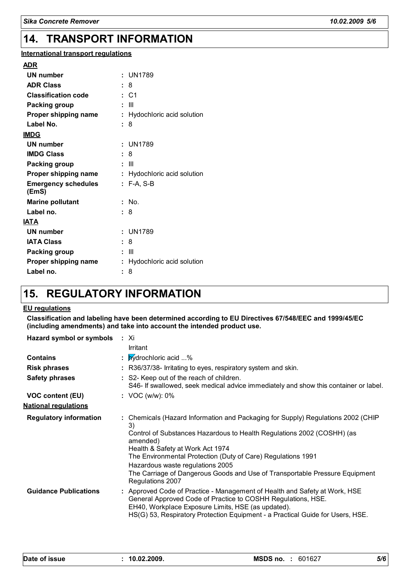#### **14. TRANSPORT INFORMATION**

### **International transport regulations**

| ADR                                 |                             |
|-------------------------------------|-----------------------------|
| <b>UN number</b>                    | : UN1789                    |
| <b>ADR Class</b>                    | 8                           |
| <b>Classification code</b>          | : C1                        |
| <b>Packing group</b>                | Ш                           |
| Proper shipping name                | Hydochloric acid solution   |
| Label No.                           | 8                           |
| <b>IMDG</b>                         |                             |
| <b>UN number</b>                    | : UN1789                    |
| <b>IMDG Class</b>                   | : 8                         |
| <b>Packing group</b>                | : III                       |
| Proper shipping name                | : Hydochloric acid solution |
| <b>Emergency schedules</b><br>(EmS) | : F-A, S-B                  |
| <b>Marine pollutant</b>             | : No.                       |
| Label no.                           | 8                           |
| <b>IATA</b>                         |                             |
| UN number                           | : UN1789                    |
| <b>IATA Class</b>                   | 8                           |
| <b>Packing group</b>                | : III                       |
| Proper shipping name                | Hydochloric acid solution   |
| Label no.                           | 8                           |
|                                     |                             |

### **15. REGULATORY INFORMATION**

#### **EU regulations**

**Classification and labeling have been determined according to EU Directives 67/548/EEC and 1999/45/EC (including amendments) and take into account the intended product use.**

| Hazard symbol or symbols : Xi |                                                                                                                                                                                                                                                                                                                                                                                                                         |
|-------------------------------|-------------------------------------------------------------------------------------------------------------------------------------------------------------------------------------------------------------------------------------------------------------------------------------------------------------------------------------------------------------------------------------------------------------------------|
|                               | Irritant                                                                                                                                                                                                                                                                                                                                                                                                                |
| <b>Contains</b>               | : <i>bydrochloric acid</i> %                                                                                                                                                                                                                                                                                                                                                                                            |
| <b>Risk phrases</b>           | : R36/37/38- Irritating to eyes, respiratory system and skin.                                                                                                                                                                                                                                                                                                                                                           |
| <b>Safety phrases</b>         | : S2- Keep out of the reach of children.<br>S46- If swallowed, seek medical advice immediately and show this container or label.                                                                                                                                                                                                                                                                                        |
| <b>VOC content (EU)</b>       | : VOC (w/w): $0\%$                                                                                                                                                                                                                                                                                                                                                                                                      |
| <u>National regulations</u>   |                                                                                                                                                                                                                                                                                                                                                                                                                         |
| <b>Regulatory information</b> | : Chemicals (Hazard Information and Packaging for Supply) Regulations 2002 (CHIP<br>3)<br>Control of Substances Hazardous to Health Regulations 2002 (COSHH) (as<br>amended)<br>Health & Safety at Work Act 1974<br>The Environmental Protection (Duty of Care) Regulations 1991<br>Hazardous waste regulations 2005<br>The Carriage of Dangerous Goods and Use of Transportable Pressure Equipment<br>Regulations 2007 |
| <b>Guidance Publications</b>  | : Approved Code of Practice - Management of Health and Safety at Work, HSE<br>General Approved Code of Practice to COSHH Regulations, HSE.<br>EH40, Workplace Exposure Limits, HSE (as updated).<br>HS(G) 53, Respiratory Protection Equipment - a Practical Guide for Users, HSE.                                                                                                                                      |